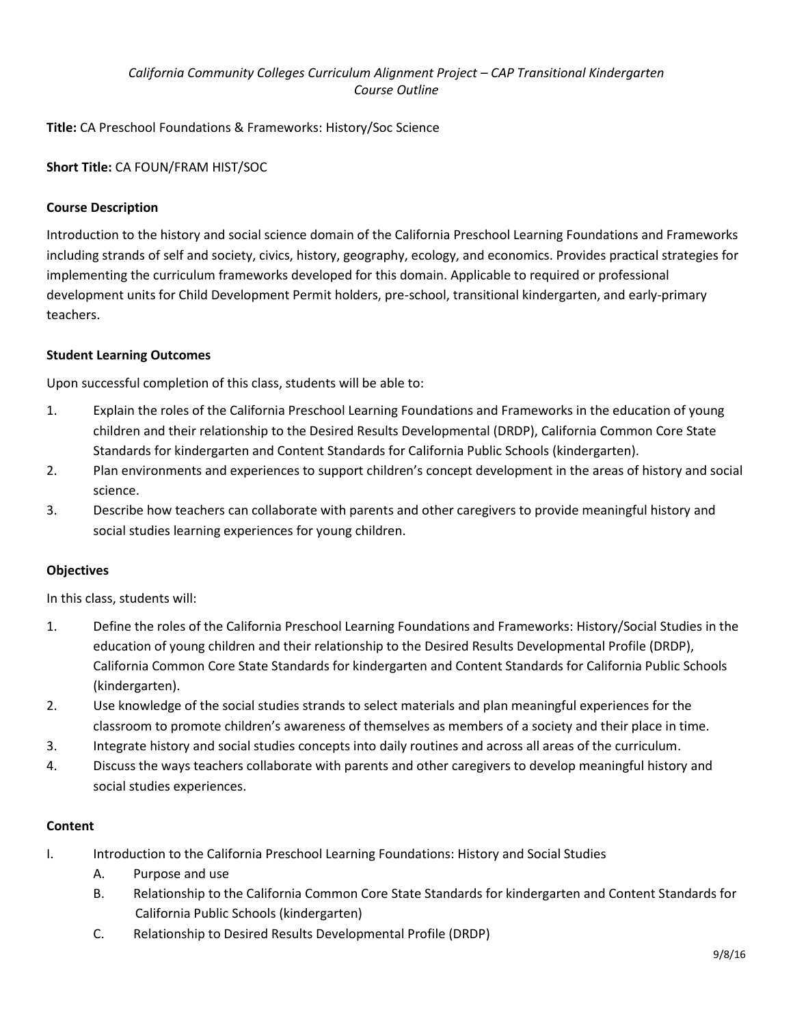# *California Community Colleges Curriculum Alignment Project – CAP Transitional Kindergarten Course Outline*

**Title:** CA Preschool Foundations & Frameworks: History/Soc Science

## **Short Title:** CA FOUN/FRAM HIST/SOC

### **Course Description**

Introduction to the history and social science domain of the California Preschool Learning Foundations and Frameworks including strands of self and society, civics, history, geography, ecology, and economics. Provides practical strategies for implementing the curriculum frameworks developed for this domain. Applicable to required or professional development units for Child Development Permit holders, pre-school, transitional kindergarten, and early-primary teachers.

### **Student Learning Outcomes**

Upon successful completion of this class, students will be able to:

- 1. Explain the roles of the California Preschool Learning Foundations and Frameworks in the education of young children and their relationship to the Desired Results Developmental (DRDP), California Common Core State Standards for kindergarten and Content Standards for California Public Schools (kindergarten).
- 2. Plan environments and experiences to support children's concept development in the areas of history and social science.
- 3. Describe how teachers can collaborate with parents and other caregivers to provide meaningful history and social studies learning experiences for young children.

### **Objectives**

In this class, students will:

- 1. Define the roles of the California Preschool Learning Foundations and Frameworks: History/Social Studies in the education of young children and their relationship to the Desired Results Developmental Profile (DRDP), California Common Core State Standards for kindergarten and Content Standards for California Public Schools (kindergarten).
- 2. Use knowledge of the social studies strands to select materials and plan meaningful experiences for the classroom to promote children's awareness of themselves as members of a society and their place in time.
- 3. Integrate history and social studies concepts into daily routines and across all areas of the curriculum.
- 4. Discuss the ways teachers collaborate with parents and other caregivers to develop meaningful history and social studies experiences.

### **Content**

- I. Introduction to the California Preschool Learning Foundations: History and Social Studies
	- A. Purpose and use
	- B. Relationship to the California Common Core State Standards for kindergarten and Content Standards for California Public Schools (kindergarten)
	- C. Relationship to Desired Results Developmental Profile (DRDP)